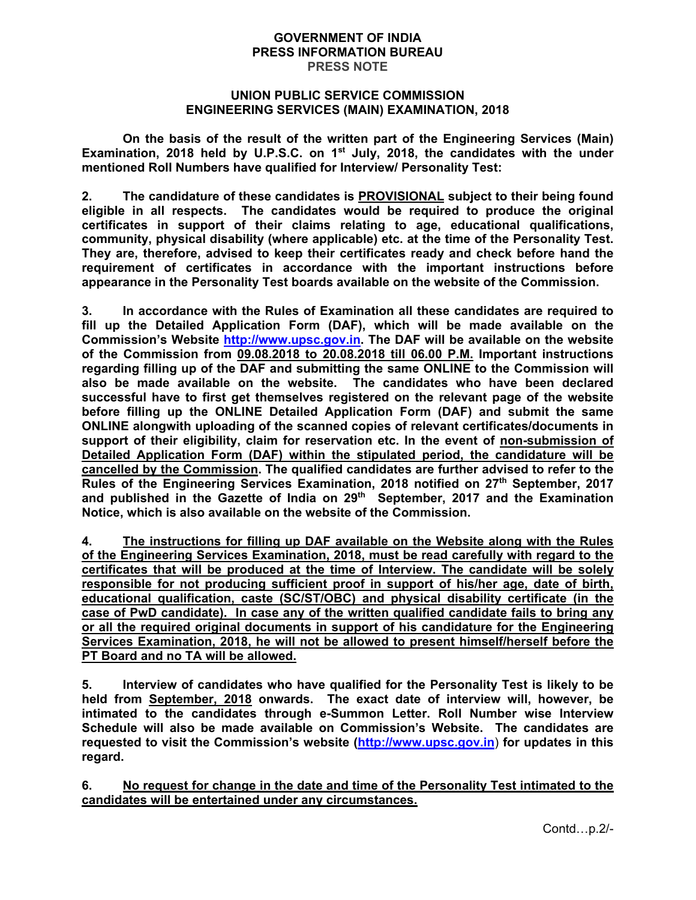#### **GOVERNMENT OF INDIA PRESS INFORMATION BUREAU PRESS NOTE**

## **UNION PUBLIC SERVICE COMMISSION ENGINEERING SERVICES (MAIN) EXAMINATION, 2018**

**On the basis of the result of the written part of the Engineering Services (Main) Examination, 2018 held by U.P.S.C. on 1st July, 2018, the candidates with the under mentioned Roll Numbers have qualified for Interview/ Personality Test:** 

**2. The candidature of these candidates is PROVISIONAL subject to their being found eligible in all respects. The candidates would be required to produce the original certificates in support of their claims relating to age, educational qualifications, community, physical disability (where applicable) etc. at the time of the Personality Test. They are, therefore, advised to keep their certificates ready and check before hand the requirement of certificates in accordance with the important instructions before appearance in the Personality Test boards available on the website of the Commission.** 

**3. In accordance with the Rules of Examination all these candidates are required to fill up the Detailed Application Form (DAF), which will be made available on the Commission's Website http://www.upsc.gov.in. The DAF will be available on the website of the Commission from 09.08.2018 to 20.08.2018 till 06.00 P.M. Important instructions regarding filling up of the DAF and submitting the same ONLINE to the Commission will also be made available on the website. The candidates who have been declared successful have to first get themselves registered on the relevant page of the website before filling up the ONLINE Detailed Application Form (DAF) and submit the same ONLINE alongwith uploading of the scanned copies of relevant certificates/documents in support of their eligibility, claim for reservation etc. In the event of non-submission of Detailed Application Form (DAF) within the stipulated period, the candidature will be cancelled by the Commission. The qualified candidates are further advised to refer to the Rules of the Engineering Services Examination, 2018 notified on 27th September, 2017**  and published in the Gazette of India on 29<sup>th</sup> September, 2017 and the Examination **Notice, which is also available on the website of the Commission.** 

**4. The instructions for filling up DAF available on the Website along with the Rules of the Engineering Services Examination, 2018, must be read carefully with regard to the certificates that will be produced at the time of Interview. The candidate will be solely responsible for not producing sufficient proof in support of his/her age, date of birth, educational qualification, caste (SC/ST/OBC) and physical disability certificate (in the case of PwD candidate). In case any of the written qualified candidate fails to bring any or all the required original documents in support of his candidature for the Engineering Services Examination, 2018, he will not be allowed to present himself/herself before the PT Board and no TA will be allowed.** 

**5. Interview of candidates who have qualified for the Personality Test is likely to be held from September, 2018 onwards. The exact date of interview will, however, be intimated to the candidates through e-Summon Letter. Roll Number wise Interview Schedule will also be made available on Commission's Website. The candidates are requested to visit the Commission's website (http://www.upsc.gov.in**) **for updates in this regard.**

**6. No request for change in the date and time of the Personality Test intimated to the candidates will be entertained under any circumstances.**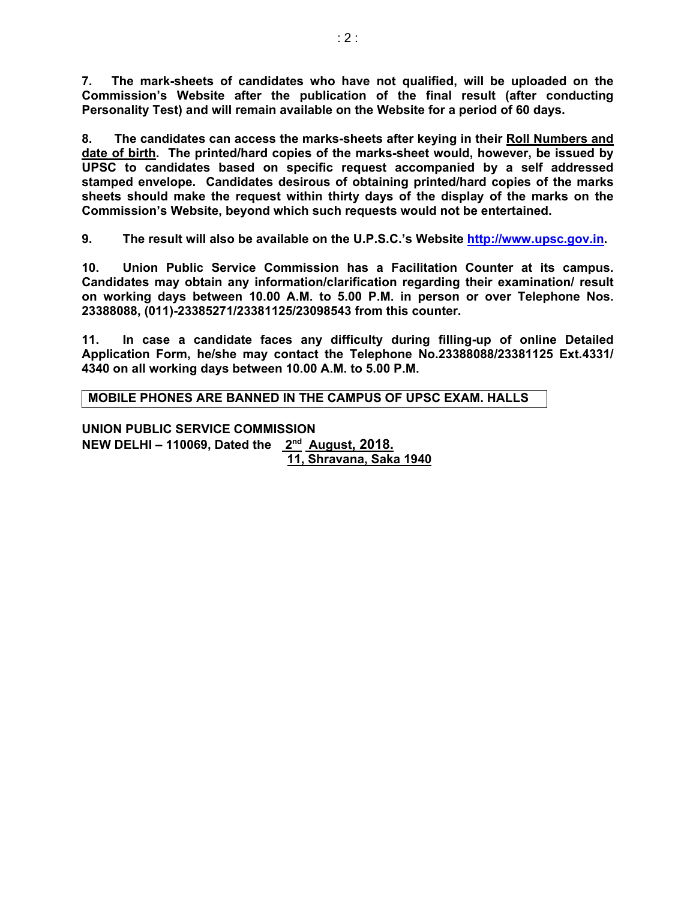**7. The mark-sheets of candidates who have not qualified, will be uploaded on the Commission's Website after the publication of the final result (after conducting Personality Test) and will remain available on the Website for a period of 60 days.** 

**8. The candidates can access the marks-sheets after keying in their Roll Numbers and date of birth. The printed/hard copies of the marks-sheet would, however, be issued by UPSC to candidates based on specific request accompanied by a self addressed stamped envelope. Candidates desirous of obtaining printed/hard copies of the marks sheets should make the request within thirty days of the display of the marks on the Commission's Website, beyond which such requests would not be entertained.** 

**9. The result will also be available on the U.P.S.C.'s Website http://www.upsc.gov.in.** 

**10. Union Public Service Commission has a Facilitation Counter at its campus. Candidates may obtain any information/clarification regarding their examination/ result on working days between 10.00 A.M. to 5.00 P.M. in person or over Telephone Nos. 23388088, (011)-23385271/23381125/23098543 from this counter.** 

**11. In case a candidate faces any difficulty during filling-up of online Detailed Application Form, he/she may contact the Telephone No.23388088/23381125 Ext.4331/ 4340 on all working days between 10.00 A.M. to 5.00 P.M.** 

**MOBILE PHONES ARE BANNED IN THE CAMPUS OF UPSC EXAM. HALLS** 

**UNION PUBLIC SERVICE COMMISSION NEW DELHI – 110069, Dated the 2nd August, 2018. 11, Shravana, Saka 1940**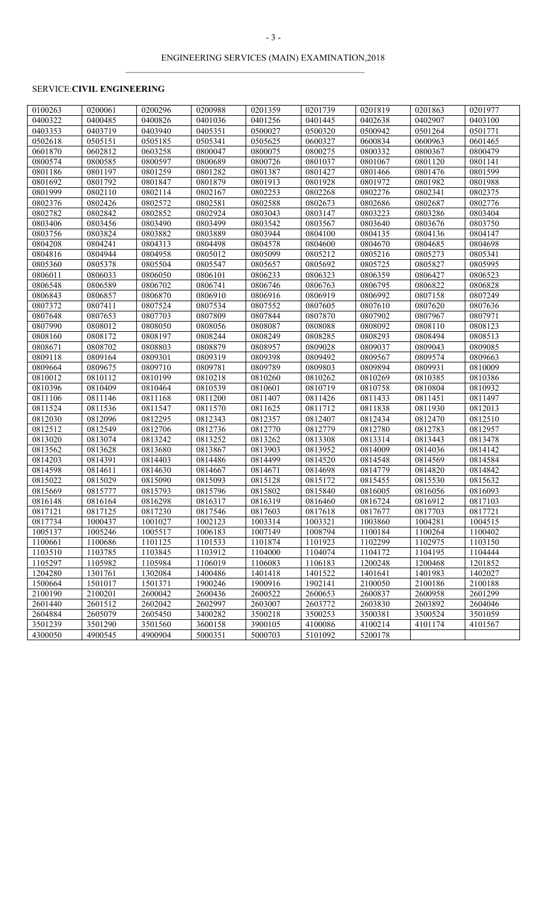$\mathcal{L}_\text{max} = \mathcal{L}_\text{max} = \mathcal{L}_\text{max} = \mathcal{L}_\text{max} = \mathcal{L}_\text{max} = \mathcal{L}_\text{max} = \mathcal{L}_\text{max} = \mathcal{L}_\text{max} = \mathcal{L}_\text{max} = \mathcal{L}_\text{max} = \mathcal{L}_\text{max} = \mathcal{L}_\text{max} = \mathcal{L}_\text{max} = \mathcal{L}_\text{max} = \mathcal{L}_\text{max} = \mathcal{L}_\text{max} = \mathcal{L}_\text{max} = \mathcal{L}_\text{max} = \mathcal{$ 

## SERVICE:**CIVIL ENGINEERING**

| 0100263 | 0200061 | 0200296 | 0200988 | 0201359 | 0201739 | 0201819 | 0201863 | 0201977 |
|---------|---------|---------|---------|---------|---------|---------|---------|---------|
| 0400322 | 0400485 | 0400826 | 0401036 | 0401256 | 0401445 | 0402638 | 0402907 | 0403100 |
| 0403353 | 0403719 | 0403940 | 0405351 | 0500027 | 0500320 | 0500942 | 0501264 | 0501771 |
| 0502618 | 0505151 | 0505185 | 0505341 | 0505625 | 0600327 | 0600834 | 0600963 | 0601465 |
| 0601870 | 0602812 | 0603258 | 0800047 | 0800075 | 0800275 | 0800332 | 0800367 | 0800479 |
| 0800574 | 0800585 | 0800597 | 0800689 | 0800726 | 0801037 | 0801067 | 0801120 | 0801141 |
| 0801186 | 0801197 | 0801259 | 0801282 | 0801387 | 0801427 | 0801466 | 0801476 | 0801599 |
| 0801692 | 0801792 | 0801847 | 0801879 | 0801913 | 0801928 | 0801972 | 0801982 | 0801988 |
| 0801999 | 0802110 | 0802114 | 0802167 | 0802253 | 0802268 | 0802276 | 0802341 | 0802375 |
| 0802376 | 0802426 | 0802572 | 0802581 | 0802588 | 0802673 | 0802686 | 0802687 | 0802776 |
| 0802782 | 0802842 | 0802852 | 0802924 | 0803043 | 0803147 | 0803223 | 0803286 | 0803404 |
| 0803406 | 0803456 | 0803490 | 0803499 | 0803542 | 0803567 | 0803640 | 0803676 | 0803750 |
| 0803756 | 0803824 | 0803882 | 0803889 | 0803944 | 0804100 | 0804135 | 0804136 | 0804147 |
| 0804208 | 0804241 | 0804313 | 0804498 | 0804578 | 0804600 | 0804670 | 0804685 | 0804698 |
| 0804816 | 0804944 | 0804958 | 0805012 | 0805099 | 0805212 | 0805216 | 0805273 | 0805341 |
| 0805360 | 0805378 | 0805504 | 0805547 | 0805657 | 0805692 | 0805725 | 0805827 | 0805995 |
| 0806011 | 0806033 | 0806050 | 0806101 | 0806233 | 0806323 | 0806359 | 0806427 | 0806523 |
| 0806548 | 0806589 | 0806702 | 0806741 | 0806746 | 0806763 | 0806795 | 0806822 | 0806828 |
| 0806843 | 0806857 | 0806870 | 0806910 | 0806916 | 0806919 | 0806992 | 0807158 | 0807249 |
| 0807372 | 0807411 | 0807524 | 0807534 | 0807552 | 0807605 | 0807610 | 0807620 | 0807636 |
| 0807648 | 0807653 | 0807703 | 0807809 | 0807844 | 0807870 | 0807902 | 0807967 | 0807971 |
| 0807990 | 0808012 | 0808050 | 0808056 | 0808087 | 0808088 | 0808092 | 0808110 | 0808123 |
| 0808160 | 0808172 | 0808197 | 0808244 | 0808249 | 0808285 | 0808293 | 0808494 | 0808513 |
| 0808671 | 0808702 | 0808803 | 0808879 | 0808957 | 0809028 | 0809037 | 0809043 | 0809085 |
| 0809118 | 0809164 | 0809301 | 0809319 | 0809398 | 0809492 | 0809567 | 0809574 | 0809663 |
| 0809664 | 0809675 | 0809710 | 0809781 | 0809789 | 0809803 | 0809894 | 0809931 | 0810009 |
| 0810012 | 0810112 | 0810199 | 0810218 | 0810260 | 0810262 | 0810269 | 0810385 | 0810386 |
| 0810396 | 0810409 | 0810464 | 0810539 | 0810601 | 0810719 | 0810758 | 0810804 | 0810932 |
| 0811106 | 0811146 | 0811168 | 0811200 | 0811407 | 0811426 | 0811433 | 0811451 | 0811497 |
| 0811524 | 0811536 | 0811547 | 0811570 | 0811625 | 0811712 | 0811838 | 0811930 | 0812013 |
| 0812030 | 0812096 | 0812295 | 0812343 | 0812357 | 0812407 | 0812434 | 0812470 | 0812510 |
| 0812512 | 0812549 | 0812706 | 0812736 | 0812770 | 0812779 | 0812780 | 0812783 | 0812957 |
| 0813020 | 0813074 | 0813242 | 0813252 | 0813262 | 0813308 | 0813314 | 0813443 | 0813478 |
| 0813562 | 0813628 | 0813680 | 0813867 | 0813903 | 0813952 | 0814009 | 0814036 | 0814142 |
| 0814203 | 0814391 | 0814403 | 0814486 | 0814499 | 0814520 | 0814548 | 0814569 | 0814584 |
| 0814598 | 0814611 | 0814630 | 0814667 | 0814671 | 0814698 | 0814779 | 0814820 | 0814842 |
| 0815022 | 0815029 | 0815090 | 0815093 | 0815128 | 0815172 | 0815455 | 0815530 | 0815632 |
| 0815669 | 0815777 | 0815793 | 0815796 | 0815802 | 0815840 | 0816005 | 0816056 | 0816093 |
| 0816148 | 0816164 | 0816298 | 0816317 | 0816319 | 0816460 | 0816724 | 0816912 | 0817103 |
| 0817121 | 0817125 | 0817230 | 0817546 | 0817603 | 0817618 | 0817677 | 0817703 | 0817721 |
| 0817734 | 1000437 | 1001027 | 1002123 | 1003314 | 1003321 | 1003860 | 1004281 | 1004515 |
| 1005137 | 1005246 | 1005517 | 1006183 | 1007149 | 1008794 | 1100184 | 1100264 | 1100402 |
| 1100661 | 1100686 | 1101125 | 1101533 | 1101874 | 1101923 | 1102299 | 1102975 | 1103150 |
| 1103510 | 1103785 | 1103845 | 1103912 | 1104000 | 1104074 | 1104172 | 1104195 | 1104444 |
| 1105297 | 1105982 | 1105984 | 1106019 | 1106083 | 1106183 | 1200248 | 1200468 | 1201852 |
| 1204280 | 1301761 | 1302084 | 1400486 | 1401418 | 1401522 | 1401641 | 1401983 | 1402027 |
| 1500664 | 1501017 | 1501371 | 1900246 | 1900916 | 1902141 | 2100050 | 2100186 | 2100188 |
| 2100190 | 2100201 | 2600042 | 2600436 | 2600522 | 2600653 | 2600837 | 2600958 | 2601299 |
| 2601440 | 2601512 | 2602042 | 2602997 | 2603007 | 2603772 | 2603830 | 2603892 | 2604046 |
| 2604884 | 2605079 | 2605450 | 3400282 | 3500218 | 3500253 | 3500381 | 3500524 | 3501059 |
| 3501239 | 3501290 | 3501560 | 3600158 | 3900105 | 4100086 | 4100214 | 4101174 | 4101567 |
| 4300050 | 4900545 | 4900904 | 5000351 | 5000703 | 5101092 | 5200178 |         |         |
|         |         |         |         |         |         |         |         |         |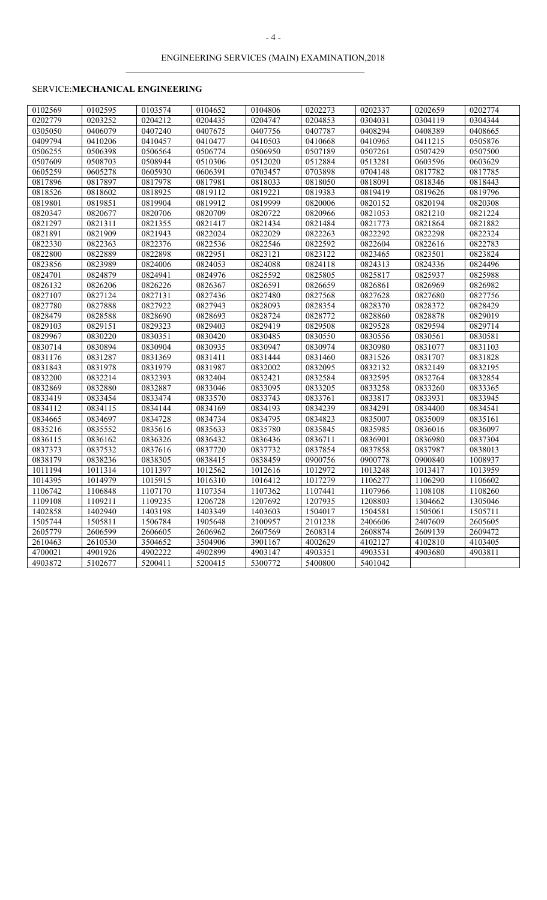$\mathcal{L}_\text{max} = \mathcal{L}_\text{max} = \mathcal{L}_\text{max} = \mathcal{L}_\text{max} = \mathcal{L}_\text{max} = \mathcal{L}_\text{max} = \mathcal{L}_\text{max} = \mathcal{L}_\text{max} = \mathcal{L}_\text{max} = \mathcal{L}_\text{max} = \mathcal{L}_\text{max} = \mathcal{L}_\text{max} = \mathcal{L}_\text{max} = \mathcal{L}_\text{max} = \mathcal{L}_\text{max} = \mathcal{L}_\text{max} = \mathcal{L}_\text{max} = \mathcal{L}_\text{max} = \mathcal{$ 

# SERVICE:**MECHANICAL ENGINEERING**

| 0102569 | 0102595 | 0103574 | 0104652 | 0104806 | 0202273 | 0202337 | 0202659 | 0202774 |
|---------|---------|---------|---------|---------|---------|---------|---------|---------|
| 0202779 | 0203252 | 0204212 | 0204435 | 0204747 | 0204853 | 0304031 | 0304119 | 0304344 |
| 0305050 | 0406079 | 0407240 | 0407675 | 0407756 | 0407787 | 0408294 | 0408389 | 0408665 |
| 0409794 | 0410206 | 0410457 | 0410477 | 0410503 | 0410668 | 0410965 | 0411215 | 0505876 |
| 0506255 | 0506398 | 0506564 | 0506774 | 0506950 | 0507189 | 0507261 | 0507429 | 0507500 |
| 0507609 | 0508703 | 0508944 | 0510306 | 0512020 | 0512884 | 0513281 | 0603596 | 0603629 |
| 0605259 | 0605278 | 0605930 | 0606391 | 0703457 | 0703898 | 0704148 | 0817782 | 0817785 |
| 0817896 | 0817897 | 0817978 | 0817981 | 0818033 | 0818050 | 0818091 | 0818346 | 0818443 |
| 0818526 | 0818602 | 0818925 | 0819112 | 0819221 | 0819383 | 0819419 | 0819626 | 0819796 |
| 0819801 | 0819851 | 0819904 | 0819912 | 0819999 | 0820006 | 0820152 | 0820194 | 0820308 |
| 0820347 | 0820677 | 0820706 | 0820709 | 0820722 | 0820966 | 0821053 | 0821210 | 0821224 |
| 0821297 | 0821311 | 0821355 | 0821417 | 0821434 | 0821484 | 0821773 | 0821864 | 0821882 |
| 0821891 | 0821909 | 0821943 | 0822024 | 0822029 | 0822263 | 0822292 | 0822298 | 0822324 |
| 0822330 | 0822363 | 0822376 | 0822536 | 0822546 | 0822592 | 0822604 | 0822616 | 0822783 |
| 0822800 | 0822889 | 0822898 | 0822951 | 0823121 | 0823122 | 0823465 | 0823501 | 0823824 |
| 0823856 | 0823989 | 0824006 | 0824053 | 0824088 | 0824118 | 0824313 | 0824336 | 0824496 |
| 0824701 | 0824879 | 0824941 | 0824976 | 0825592 | 0825805 | 0825817 | 0825937 | 0825988 |
| 0826132 | 0826206 | 0826226 | 0826367 | 0826591 | 0826659 | 0826861 | 0826969 | 0826982 |
| 0827107 | 0827124 | 0827131 | 0827436 | 0827480 | 0827568 | 0827628 | 0827680 | 0827756 |
| 0827780 | 0827888 | 0827922 | 0827943 | 0828093 | 0828354 | 0828370 | 0828372 | 0828429 |
| 0828479 | 0828588 | 0828690 | 0828693 | 0828724 | 0828772 | 0828860 | 0828878 | 0829019 |
| 0829103 | 0829151 | 0829323 | 0829403 | 0829419 | 0829508 | 0829528 | 0829594 | 0829714 |
| 0829967 | 0830220 | 0830351 | 0830420 | 0830485 | 0830550 | 0830556 | 0830561 | 0830581 |
| 0830714 | 0830894 | 0830904 | 0830935 | 0830947 | 0830974 | 0830980 | 0831077 | 0831103 |
| 0831176 | 0831287 | 0831369 | 0831411 | 0831444 | 0831460 | 0831526 | 0831707 | 0831828 |
| 0831843 | 0831978 | 0831979 | 0831987 | 0832002 | 0832095 | 0832132 | 0832149 | 0832195 |
| 0832200 | 0832214 | 0832393 | 0832404 | 0832421 | 0832584 | 0832595 | 0832764 | 0832854 |
| 0832869 | 0832880 | 0832887 | 0833046 | 0833095 | 0833205 | 0833258 | 0833260 | 0833365 |
| 0833419 | 0833454 | 0833474 | 0833570 | 0833743 | 0833761 | 0833817 | 0833931 | 0833945 |
| 0834112 | 0834115 | 0834144 | 0834169 | 0834193 | 0834239 | 0834291 | 0834400 | 0834541 |
| 0834665 | 0834697 | 0834728 | 0834734 | 0834795 | 0834823 | 0835007 | 0835009 | 0835161 |
| 0835216 | 0835552 | 0835616 | 0835633 | 0835780 | 0835845 | 0835985 | 0836016 | 0836097 |
| 0836115 | 0836162 | 0836326 | 0836432 | 0836436 | 0836711 | 0836901 | 0836980 | 0837304 |
| 0837373 | 0837532 | 0837616 | 0837720 | 0837732 | 0837854 | 0837858 | 0837987 | 0838013 |
| 0838179 | 0838236 | 0838305 | 0838415 | 0838459 | 0900756 | 0900778 | 0900840 | 1008937 |
| 1011194 | 1011314 | 1011397 | 1012562 | 1012616 | 1012972 | 1013248 | 1013417 | 1013959 |
| 1014395 | 1014979 | 1015915 | 1016310 | 1016412 | 1017279 | 1106277 | 1106290 | 1106602 |
| 1106742 | 1106848 | 1107170 | 1107354 | 1107362 | 1107441 | 1107966 | 1108108 | 1108260 |
| 1109108 | 1109211 | 1109235 | 1206728 | 1207692 | 1207935 | 1208803 | 1304662 | 1305046 |
| 1402858 | 1402940 | 1403198 | 1403349 | 1403603 | 1504017 | 1504581 | 1505061 | 1505711 |
| 1505744 | 1505811 | 1506784 | 1905648 | 2100957 | 2101238 | 2406606 | 2407609 | 2605605 |
| 2605779 | 2606599 | 2606605 | 2606962 | 2607569 | 2608314 | 2608874 | 2609139 | 2609472 |
| 2610463 | 2610530 | 3504652 | 3504906 | 3901167 | 4002629 | 4102127 | 4102810 | 4103405 |
| 4700021 | 4901926 | 4902222 | 4902899 | 4903147 | 4903351 | 4903531 | 4903680 | 4903811 |
| 4903872 | 5102677 | 5200411 | 5200415 | 5300772 | 5400800 | 5401042 |         |         |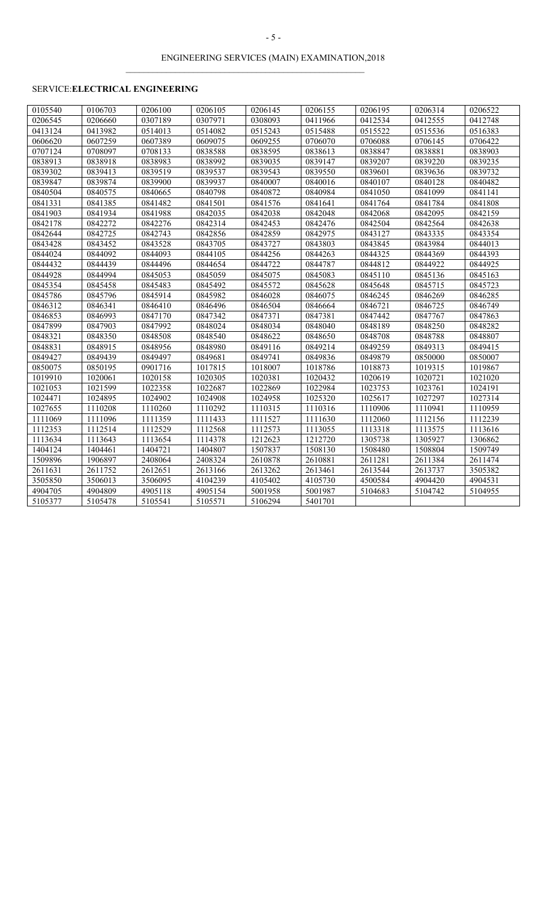$\mathcal{L}_\text{max} = \mathcal{L}_\text{max} = \mathcal{L}_\text{max} = \mathcal{L}_\text{max} = \mathcal{L}_\text{max} = \mathcal{L}_\text{max} = \mathcal{L}_\text{max} = \mathcal{L}_\text{max} = \mathcal{L}_\text{max} = \mathcal{L}_\text{max} = \mathcal{L}_\text{max} = \mathcal{L}_\text{max} = \mathcal{L}_\text{max} = \mathcal{L}_\text{max} = \mathcal{L}_\text{max} = \mathcal{L}_\text{max} = \mathcal{L}_\text{max} = \mathcal{L}_\text{max} = \mathcal{$ 

# SERVICE:**ELECTRICAL ENGINEERING**

| 0105540 | 0106703 | 0206100 | 0206105 | 0206145 | 0206155 | 0206195 | 0206314 | 0206522 |
|---------|---------|---------|---------|---------|---------|---------|---------|---------|
| 0206545 | 0206660 | 0307189 | 0307971 | 0308093 | 0411966 | 0412534 | 0412555 | 0412748 |
| 0413124 | 0413982 | 0514013 | 0514082 | 0515243 | 0515488 | 0515522 | 0515536 | 0516383 |
| 0606620 | 0607259 | 0607389 | 0609075 | 0609255 | 0706070 | 0706088 | 0706145 | 0706422 |
| 0707124 | 0708097 | 0708133 | 0838588 | 0838595 | 0838613 | 0838847 | 0838881 | 0838903 |
| 0838913 | 0838918 | 0838983 | 0838992 | 0839035 | 0839147 | 0839207 | 0839220 | 0839235 |
| 0839302 | 0839413 | 0839519 | 0839537 | 0839543 | 0839550 | 0839601 | 0839636 | 0839732 |
| 0839847 | 0839874 | 0839900 | 0839937 | 0840007 | 0840016 | 0840107 | 0840128 | 0840482 |
| 0840504 | 0840575 | 0840665 | 0840798 | 0840872 | 0840984 | 0841050 | 0841099 | 0841141 |
| 0841331 | 0841385 | 0841482 | 0841501 | 0841576 | 0841641 | 0841764 | 0841784 | 0841808 |
| 0841903 | 0841934 | 0841988 | 0842035 | 0842038 | 0842048 | 0842068 | 0842095 | 0842159 |
| 0842178 | 0842272 | 0842276 | 0842314 | 0842453 | 0842476 | 0842504 | 0842564 | 0842638 |
| 0842644 | 0842725 | 0842743 | 0842856 | 0842859 | 0842975 | 0843127 | 0843335 | 0843354 |
| 0843428 | 0843452 | 0843528 | 0843705 | 0843727 | 0843803 | 0843845 | 0843984 | 0844013 |
| 0844024 | 0844092 | 0844093 | 0844105 | 0844256 | 0844263 | 0844325 | 0844369 | 0844393 |
| 0844432 | 0844439 | 0844496 | 0844654 | 0844722 | 0844787 | 0844812 | 0844922 | 0844925 |
| 0844928 | 0844994 | 0845053 | 0845059 | 0845075 | 0845083 | 0845110 | 0845136 | 0845163 |
| 0845354 | 0845458 | 0845483 | 0845492 | 0845572 | 0845628 | 0845648 | 0845715 | 0845723 |
| 0845786 | 0845796 | 0845914 | 0845982 | 0846028 | 0846075 | 0846245 | 0846269 | 0846285 |
| 0846312 | 0846341 | 0846410 | 0846496 | 0846504 | 0846664 | 0846721 | 0846725 | 0846749 |
| 0846853 | 0846993 | 0847170 | 0847342 | 0847371 | 0847381 | 0847442 | 0847767 | 0847863 |
| 0847899 | 0847903 | 0847992 | 0848024 | 0848034 | 0848040 | 0848189 | 0848250 | 0848282 |
| 0848321 | 0848350 | 0848508 | 0848540 | 0848622 | 0848650 | 0848708 | 0848788 | 0848807 |
| 0848831 | 0848915 | 0848956 | 0848980 | 0849116 | 0849214 | 0849259 | 0849313 | 0849415 |
| 0849427 | 0849439 | 0849497 | 0849681 | 0849741 | 0849836 | 0849879 | 0850000 | 0850007 |
| 0850075 | 0850195 | 0901716 | 1017815 | 1018007 | 1018786 | 1018873 | 1019315 | 1019867 |
| 1019910 | 1020061 | 1020158 | 1020305 | 1020381 | 1020432 | 1020619 | 1020721 | 1021020 |
| 1021053 | 1021599 | 1022358 | 1022687 | 1022869 | 1022984 | 1023753 | 1023761 | 1024191 |
| 1024471 | 1024895 | 1024902 | 1024908 | 1024958 | 1025320 | 1025617 | 1027297 | 1027314 |
| 1027655 | 1110208 | 1110260 | 1110292 | 1110315 | 1110316 | 1110906 | 1110941 | 1110959 |
| 1111069 | 1111096 | 1111359 | 1111433 | 1111527 | 1111630 | 1112060 | 1112156 | 1112239 |
| 1112353 | 1112514 | 1112529 | 1112568 | 1112573 | 1113055 | 1113318 | 1113575 | 1113616 |
| 1113634 | 1113643 | 1113654 | 1114378 | 1212623 | 1212720 | 1305738 | 1305927 | 1306862 |
| 1404124 | 1404461 | 1404721 | 1404807 | 1507837 | 1508130 | 1508480 | 1508804 | 1509749 |
| 1509896 | 1906897 | 2408064 | 2408324 | 2610878 | 2610881 | 2611281 | 2611384 | 2611474 |
| 2611631 | 2611752 | 2612651 | 2613166 | 2613262 | 2613461 | 2613544 | 2613737 | 3505382 |
| 3505850 | 3506013 | 3506095 | 4104239 | 4105402 | 4105730 | 4500584 | 4904420 | 4904531 |
| 4904705 | 4904809 | 4905118 | 4905154 | 5001958 | 5001987 | 5104683 | 5104742 | 5104955 |
| 5105377 | 5105478 | 5105541 | 5105571 | 5106294 | 5401701 |         |         |         |